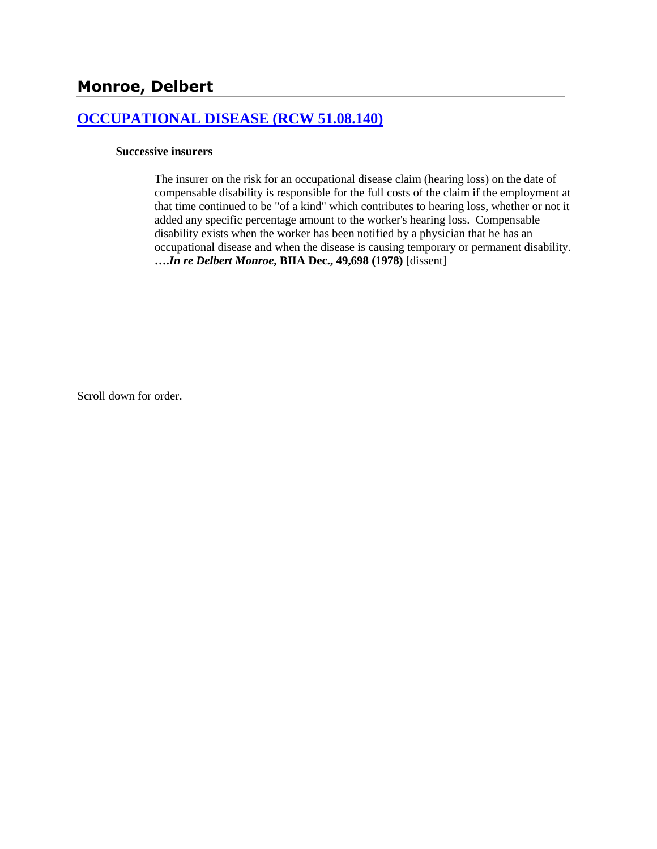## **[OCCUPATIONAL DISEASE \(RCW 51.08.140\)](http://www.biia.wa.gov/SDSubjectIndex.html#OCCUPATIONAL_DISEASE)**

### **Successive insurers**

The insurer on the risk for an occupational disease claim (hearing loss) on the date of compensable disability is responsible for the full costs of the claim if the employment at that time continued to be "of a kind" which contributes to hearing loss, whether or not it added any specific percentage amount to the worker's hearing loss. Compensable disability exists when the worker has been notified by a physician that he has an occupational disease and when the disease is causing temporary or permanent disability. **….***In re Delbert Monroe***, BIIA Dec., 49,698 (1978)** [dissent]

Scroll down for order.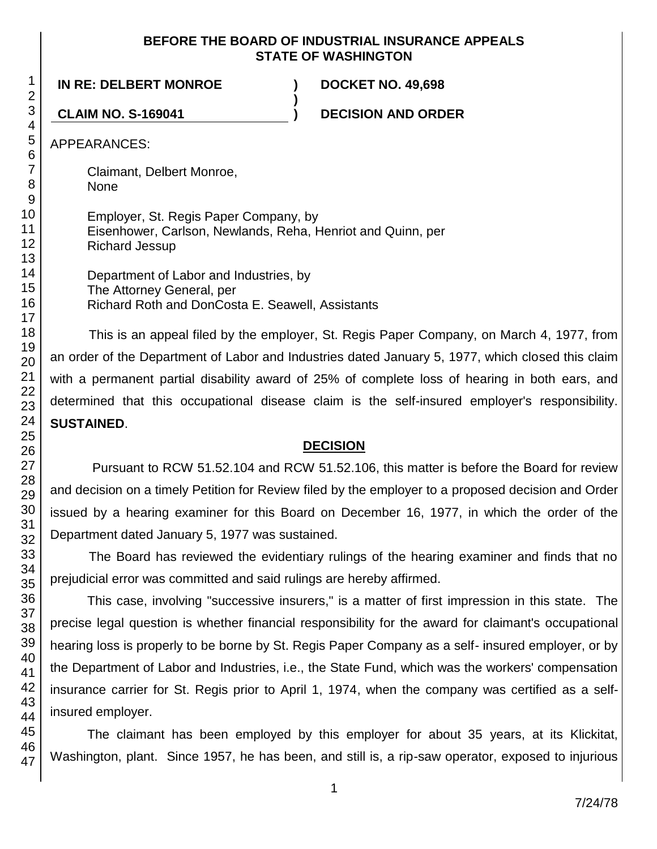## **BEFORE THE BOARD OF INDUSTRIAL INSURANCE APPEALS STATE OF WASHINGTON**

**)**

**IN RE: DELBERT MONROE ) DOCKET NO. 49,698**

**CLAIM NO. S-169041 ) DECISION AND ORDER**

APPEARANCES:

Claimant, Delbert Monroe, None

Employer, St. Regis Paper Company, by Eisenhower, Carlson, Newlands, Reha, Henriot and Quinn, per Richard Jessup

Department of Labor and Industries, by The Attorney General, per Richard Roth and DonCosta E. Seawell, Assistants

This is an appeal filed by the employer, St. Regis Paper Company, on March 4, 1977, from an order of the Department of Labor and Industries dated January 5, 1977, which closed this claim with a permanent partial disability award of 25% of complete loss of hearing in both ears, and determined that this occupational disease claim is the self-insured employer's responsibility. **SUSTAINED**.

## **DECISION**

Pursuant to RCW 51.52.104 and RCW 51.52.106, this matter is before the Board for review and decision on a timely Petition for Review filed by the employer to a proposed decision and Order issued by a hearing examiner for this Board on December 16, 1977, in which the order of the Department dated January 5, 1977 was sustained.

The Board has reviewed the evidentiary rulings of the hearing examiner and finds that no prejudicial error was committed and said rulings are hereby affirmed.

This case, involving "successive insurers," is a matter of first impression in this state. The precise legal question is whether financial responsibility for the award for claimant's occupational hearing loss is properly to be borne by St. Regis Paper Company as a self- insured employer, or by the Department of Labor and Industries, i.e., the State Fund, which was the workers' compensation insurance carrier for St. Regis prior to April 1, 1974, when the company was certified as a selfinsured employer.

The claimant has been employed by this employer for about 35 years, at its Klickitat, Washington, plant. Since 1957, he has been, and still is, a rip-saw operator, exposed to injurious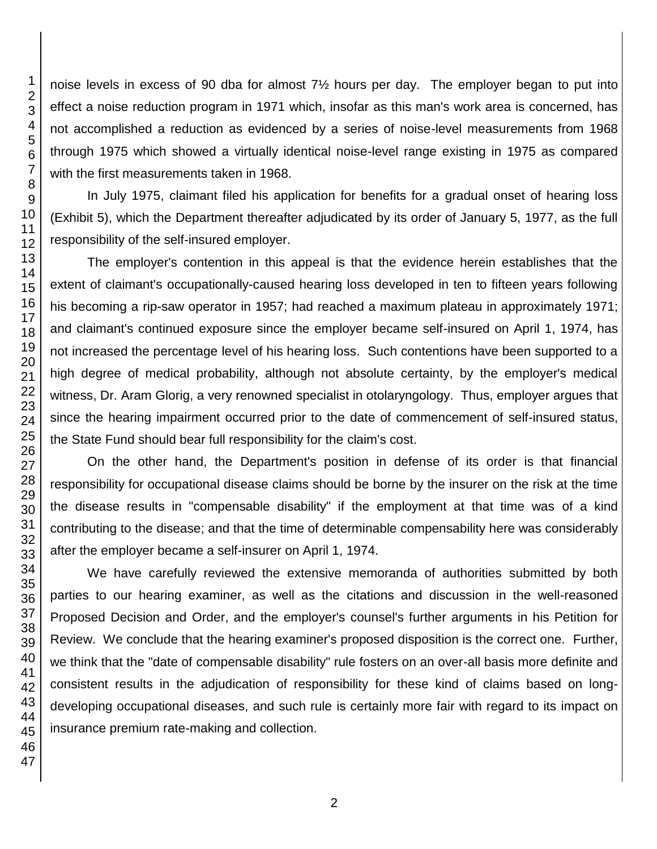noise levels in excess of 90 dba for almost 7½ hours per day. The employer began to put into effect a noise reduction program in 1971 which, insofar as this man's work area is concerned, has not accomplished a reduction as evidenced by a series of noise-level measurements from 1968 through 1975 which showed a virtually identical noise-level range existing in 1975 as compared with the first measurements taken in 1968.

In July 1975, claimant filed his application for benefits for a gradual onset of hearing loss (Exhibit 5), which the Department thereafter adjudicated by its order of January 5, 1977, as the full responsibility of the self-insured employer.

The employer's contention in this appeal is that the evidence herein establishes that the extent of claimant's occupationally-caused hearing loss developed in ten to fifteen years following his becoming a rip-saw operator in 1957; had reached a maximum plateau in approximately 1971; and claimant's continued exposure since the employer became self-insured on April 1, 1974, has not increased the percentage level of his hearing loss. Such contentions have been supported to a high degree of medical probability, although not absolute certainty, by the employer's medical witness, Dr. Aram Glorig, a very renowned specialist in otolaryngology. Thus, employer argues that since the hearing impairment occurred prior to the date of commencement of self-insured status, the State Fund should bear full responsibility for the claim's cost.

On the other hand, the Department's position in defense of its order is that financial responsibility for occupational disease claims should be borne by the insurer on the risk at the time the disease results in "compensable disability" if the employment at that time was of a kind contributing to the disease; and that the time of determinable compensability here was considerably after the employer became a self-insurer on April 1, 1974.

We have carefully reviewed the extensive memoranda of authorities submitted by both parties to our hearing examiner, as well as the citations and discussion in the well-reasoned Proposed Decision and Order, and the employer's counsel's further arguments in his Petition for Review. We conclude that the hearing examiner's proposed disposition is the correct one. Further, we think that the "date of compensable disability" rule fosters on an over-all basis more definite and consistent results in the adjudication of responsibility for these kind of claims based on longdeveloping occupational diseases, and such rule is certainly more fair with regard to its impact on insurance premium rate-making and collection.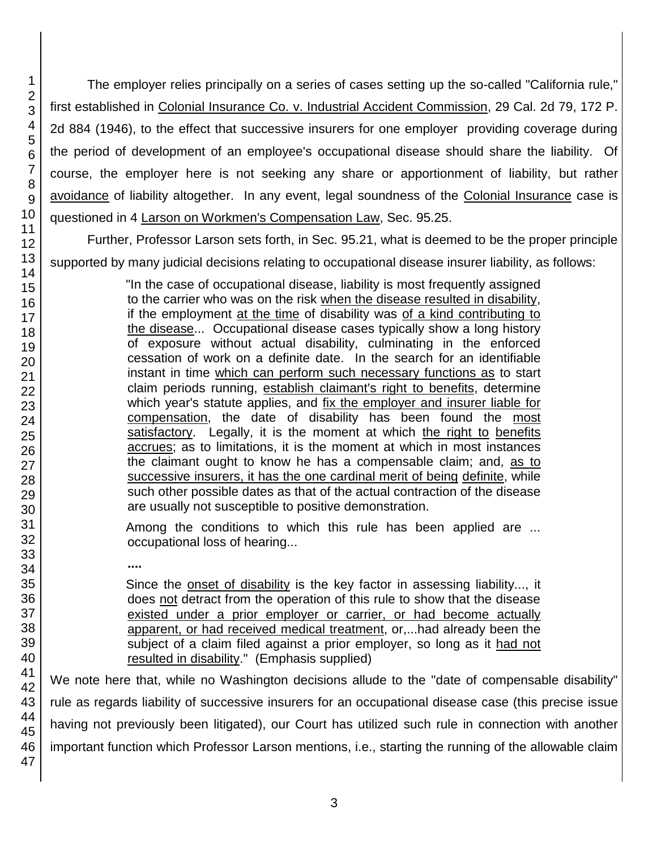The employer relies principally on a series of cases setting up the so-called "California rule," first established in Colonial Insurance Co. v. Industrial Accident Commission, 29 Cal. 2d 79, 172 P. 2d 884 (1946), to the effect that successive insurers for one employer providing coverage during the period of development of an employee's occupational disease should share the liability. Of course, the employer here is not seeking any share or apportionment of liability, but rather avoidance of liability altogether. In any event, legal soundness of the Colonial Insurance case is questioned in 4 Larson on Workmen's Compensation Law, Sec. 95.25.

Further, Professor Larson sets forth, in Sec. 95.21, what is deemed to be the proper principle supported by many judicial decisions relating to occupational disease insurer liability, as follows:

> "In the case of occupational disease, liability is most frequently assigned to the carrier who was on the risk when the disease resulted in disability, if the employment at the time of disability was of a kind contributing to the disease... Occupational disease cases typically show a long history of exposure without actual disability, culminating in the enforced cessation of work on a definite date. In the search for an identifiable instant in time which can perform such necessary functions as to start claim periods running, establish claimant's right to benefits, determine which year's statute applies, and fix the employer and insurer liable for compensation, the date of disability has been found the most satisfactory. Legally, it is the moment at which the right to benefits accrues; as to limitations, it is the moment at which in most instances the claimant ought to know he has a compensable claim; and, as to successive insurers, it has the one cardinal merit of being definite, while such other possible dates as that of the actual contraction of the disease are usually not susceptible to positive demonstration.

- Among the conditions to which this rule has been applied are ... occupational loss of hearing...
	- **....**

Since the onset of disability is the key factor in assessing liability..., it does not detract from the operation of this rule to show that the disease existed under a prior employer or carrier, or had become actually apparent, or had received medical treatment, or,...had already been the subject of a claim filed against a prior employer, so long as it had not resulted in disability." (Emphasis supplied)

We note here that, while no Washington decisions allude to the "date of compensable disability" rule as regards liability of successive insurers for an occupational disease case (this precise issue having not previously been litigated), our Court has utilized such rule in connection with another important function which Professor Larson mentions, i.e., starting the running of the allowable claim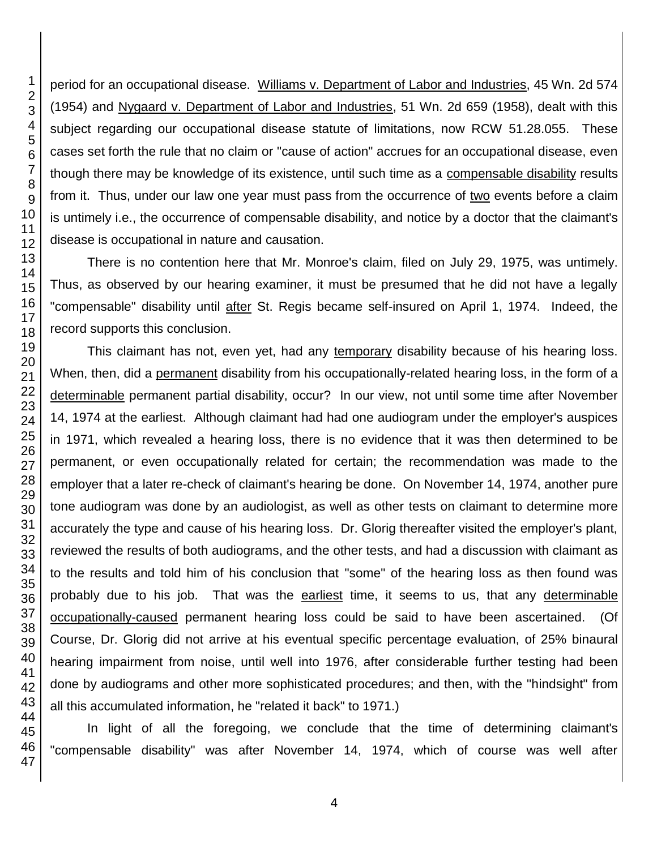period for an occupational disease. Williams v. Department of Labor and Industries, 45 Wn. 2d 574 (1954) and Nygaard v. Department of Labor and Industries, 51 Wn. 2d 659 (1958), dealt with this subject regarding our occupational disease statute of limitations, now RCW 51.28.055. These cases set forth the rule that no claim or "cause of action" accrues for an occupational disease, even though there may be knowledge of its existence, until such time as a compensable disability results from it. Thus, under our law one year must pass from the occurrence of two events before a claim is untimely i.e., the occurrence of compensable disability, and notice by a doctor that the claimant's disease is occupational in nature and causation.

There is no contention here that Mr. Monroe's claim, filed on July 29, 1975, was untimely. Thus, as observed by our hearing examiner, it must be presumed that he did not have a legally "compensable" disability until after St. Regis became self-insured on April 1, 1974. Indeed, the record supports this conclusion.

This claimant has not, even yet, had any temporary disability because of his hearing loss. When, then, did a permanent disability from his occupationally-related hearing loss, in the form of a determinable permanent partial disability, occur? In our view, not until some time after November 14, 1974 at the earliest. Although claimant had had one audiogram under the employer's auspices in 1971, which revealed a hearing loss, there is no evidence that it was then determined to be permanent, or even occupationally related for certain; the recommendation was made to the employer that a later re-check of claimant's hearing be done. On November 14, 1974, another pure tone audiogram was done by an audiologist, as well as other tests on claimant to determine more accurately the type and cause of his hearing loss. Dr. Glorig thereafter visited the employer's plant, reviewed the results of both audiograms, and the other tests, and had a discussion with claimant as to the results and told him of his conclusion that "some" of the hearing loss as then found was probably due to his job. That was the earliest time, it seems to us, that any determinable occupationally-caused permanent hearing loss could be said to have been ascertained. (Of Course, Dr. Glorig did not arrive at his eventual specific percentage evaluation, of 25% binaural hearing impairment from noise, until well into 1976, after considerable further testing had been done by audiograms and other more sophisticated procedures; and then, with the "hindsight" from all this accumulated information, he "related it back" to 1971.)

In light of all the foregoing, we conclude that the time of determining claimant's "compensable disability" was after November 14, 1974, which of course was well after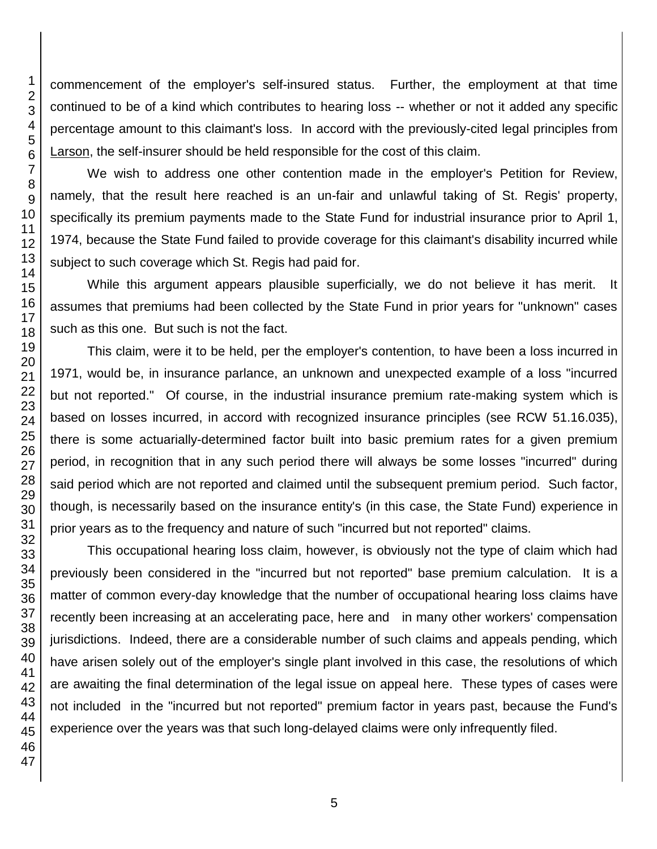commencement of the employer's self-insured status. Further, the employment at that time continued to be of a kind which contributes to hearing loss -- whether or not it added any specific percentage amount to this claimant's loss. In accord with the previously-cited legal principles from Larson, the self-insurer should be held responsible for the cost of this claim.

We wish to address one other contention made in the employer's Petition for Review, namely, that the result here reached is an un-fair and unlawful taking of St. Regis' property, specifically its premium payments made to the State Fund for industrial insurance prior to April 1, 1974, because the State Fund failed to provide coverage for this claimant's disability incurred while subject to such coverage which St. Regis had paid for.

While this argument appears plausible superficially, we do not believe it has merit. It assumes that premiums had been collected by the State Fund in prior years for "unknown" cases such as this one. But such is not the fact.

This claim, were it to be held, per the employer's contention, to have been a loss incurred in 1971, would be, in insurance parlance, an unknown and unexpected example of a loss "incurred but not reported." Of course, in the industrial insurance premium rate-making system which is based on losses incurred, in accord with recognized insurance principles (see RCW 51.16.035), there is some actuarially-determined factor built into basic premium rates for a given premium period, in recognition that in any such period there will always be some losses "incurred" during said period which are not reported and claimed until the subsequent premium period. Such factor, though, is necessarily based on the insurance entity's (in this case, the State Fund) experience in prior years as to the frequency and nature of such "incurred but not reported" claims.

This occupational hearing loss claim, however, is obviously not the type of claim which had previously been considered in the "incurred but not reported" base premium calculation. It is a matter of common every-day knowledge that the number of occupational hearing loss claims have recently been increasing at an accelerating pace, here and in many other workers' compensation jurisdictions. Indeed, there are a considerable number of such claims and appeals pending, which have arisen solely out of the employer's single plant involved in this case, the resolutions of which are awaiting the final determination of the legal issue on appeal here. These types of cases were not included in the "incurred but not reported" premium factor in years past, because the Fund's experience over the years was that such long-delayed claims were only infrequently filed.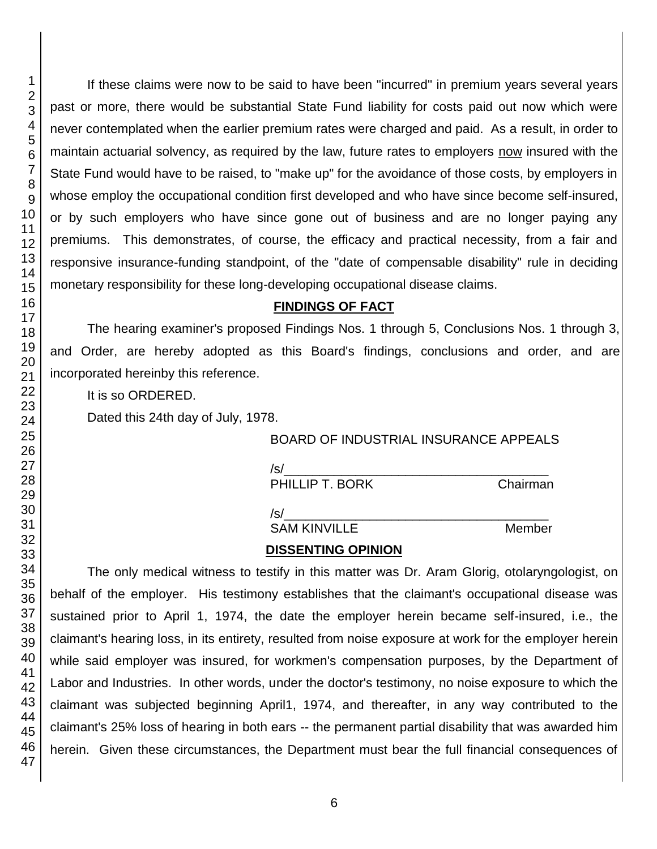If these claims were now to be said to have been "incurred" in premium years several years past or more, there would be substantial State Fund liability for costs paid out now which were never contemplated when the earlier premium rates were charged and paid. As a result, in order to maintain actuarial solvency, as required by the law, future rates to employers now insured with the State Fund would have to be raised, to "make up" for the avoidance of those costs, by employers in whose employ the occupational condition first developed and who have since become self-insured, or by such employers who have since gone out of business and are no longer paying any premiums. This demonstrates, of course, the efficacy and practical necessity, from a fair and responsive insurance-funding standpoint, of the "date of compensable disability" rule in deciding monetary responsibility for these long-developing occupational disease claims.

### **FINDINGS OF FACT**

The hearing examiner's proposed Findings Nos. 1 through 5, Conclusions Nos. 1 through 3, and Order, are hereby adopted as this Board's findings, conclusions and order, and are incorporated hereinby this reference.

It is so ORDERED.

Dated this 24th day of July, 1978.

BOARD OF INDUSTRIAL INSURANCE APPEALS

/s/\_\_\_\_\_\_\_\_\_\_\_\_\_\_\_\_\_\_\_\_\_\_\_\_\_\_\_\_\_\_\_\_\_\_\_\_\_

PHILLIP T. BORK Chairman

 $\sqrt{s/2}$ 

SAM KINVILLE Member

# **DISSENTING OPINION**

The only medical witness to testify in this matter was Dr. Aram Glorig, otolaryngologist, on behalf of the employer. His testimony establishes that the claimant's occupational disease was sustained prior to April 1, 1974, the date the employer herein became self-insured, i.e., the claimant's hearing loss, in its entirety, resulted from noise exposure at work for the employer herein while said employer was insured, for workmen's compensation purposes, by the Department of Labor and Industries. In other words, under the doctor's testimony, no noise exposure to which the claimant was subjected beginning April1, 1974, and thereafter, in any way contributed to the claimant's 25% loss of hearing in both ears -- the permanent partial disability that was awarded him herein. Given these circumstances, the Department must bear the full financial consequences of